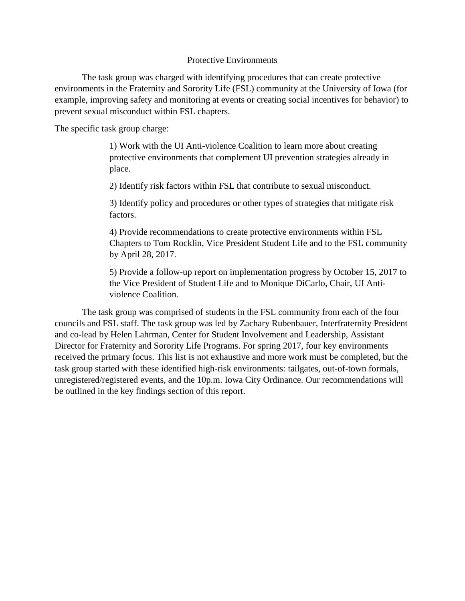#### Protective Environments

The task group was charged with identifying procedures that can create protective environments in the Fraternity and Sorority Life (FSL) community at the University of Iowa (for example, improving safety and monitoring at events or creating social incentives for behavior) to prevent sexual misconduct within FSL chapters.

The specific task group charge:

1) Work with the UI Anti-violence Coalition to learn more about creating protective environments that complement UI prevention strategies already in place.

2) Identify risk factors within FSL that contribute to sexual misconduct.

3) Identify policy and procedures or other types of strategies that mitigate risk factors.

4) Provide recommendations to create protective environments within FSL Chapters to Tom Rocklin, Vice President Student Life and to the FSL community by April 28, 2017.

5) Provide a follow-up report on implementation progress by October 15, 2017 to the Vice President of Student Life and to Monique DiCarlo, Chair, UI Antiviolence Coalition.

The task group was comprised of students in the FSL community from each of the four councils and FSL staff. The task group was led by Zachary Rubenbauer, Interfraternity President and co-lead by Helen Lahrman, Center for Student Involvement and Leadership, Assistant Director for Fraternity and Sorority Life Programs. For spring 2017, four key environments received the primary focus. This list is not exhaustive and more work must be completed, but the task group started with these identified high-risk environments: tailgates, out-of-town formals, unregistered/registered events, and the 10p.m. Iowa City Ordinance. Our recommendations will be outlined in the key findings section of this report.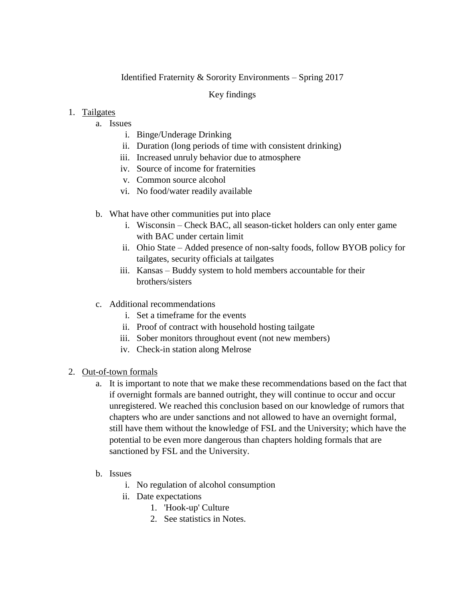## Identified Fraternity & Sorority Environments – Spring 2017

## Key findings

### 1. Tailgates

- a. Issues
	- i. Binge/Underage Drinking
	- ii. Duration (long periods of time with consistent drinking)
	- iii. Increased unruly behavior due to atmosphere
	- iv. Source of income for fraternities
	- v. Common source alcohol
	- vi. No food/water readily available
- b. What have other communities put into place
	- i. Wisconsin Check BAC, all season-ticket holders can only enter game with BAC under certain limit
	- ii. Ohio State Added presence of non-salty foods, follow BYOB policy for tailgates, security officials at tailgates
	- iii. Kansas Buddy system to hold members accountable for their brothers/sisters
- c. Additional recommendations
	- i. Set a timeframe for the events
	- ii. Proof of contract with household hosting tailgate
	- iii. Sober monitors throughout event (not new members)
	- iv. Check-in station along Melrose
- 2. Out-of-town formals
	- a. It is important to note that we make these recommendations based on the fact that if overnight formals are banned outright, they will continue to occur and occur unregistered. We reached this conclusion based on our knowledge of rumors that chapters who are under sanctions and not allowed to have an overnight formal, still have them without the knowledge of FSL and the University; which have the potential to be even more dangerous than chapters holding formals that are sanctioned by FSL and the University.
	- b. Issues
		- i. No regulation of alcohol consumption
		- ii. Date expectations
			- 1. 'Hook-up' Culture
			- 2. See statistics in Notes.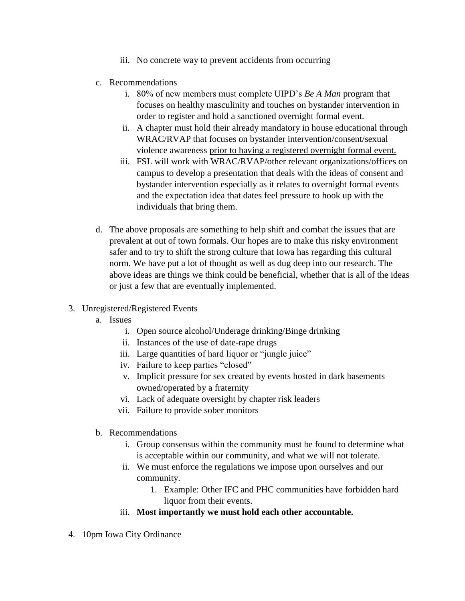- iii. No concrete way to prevent accidents from occurring
- c. Recommendations
	- i. 80% of new members must complete UIPD's *Be A Man* program that focuses on healthy masculinity and touches on bystander intervention in order to register and hold a sanctioned overnight formal event.
	- ii. A chapter must hold their already mandatory in house educational through WRAC/RVAP that focuses on bystander intervention/consent/sexual violence awareness prior to having a registered overnight formal event.
	- iii. FSL will work with WRAC/RVAP/other relevant organizations/offices on campus to develop a presentation that deals with the ideas of consent and bystander intervention especially as it relates to overnight formal events and the expectation idea that dates feel pressure to hook up with the individuals that bring them.
- d. The above proposals are something to help shift and combat the issues that are prevalent at out of town formals. Our hopes are to make this risky environment safer and to try to shift the strong culture that Iowa has regarding this cultural norm. We have put a lot of thought as well as dug deep into our research. The above ideas are things we think could be beneficial, whether that is all of the ideas or just a few that are eventually implemented.
- 3. Unregistered/Registered Events
	- a. Issues
		- i. Open source alcohol/Underage drinking/Binge drinking
		- ii. Instances of the use of date-rape drugs
		- iii. Large quantities of hard liquor or "jungle juice"
		- iv. Failure to keep parties "closed"
		- v. Implicit pressure for sex created by events hosted in dark basements owned/operated by a fraternity
		- vi. Lack of adequate oversight by chapter risk leaders
		- vii. Failure to provide sober monitors
	- b. Recommendations
		- i. Group consensus within the community must be found to determine what is acceptable within our community, and what we will not tolerate.
		- ii. We must enforce the regulations we impose upon ourselves and our community.
			- 1. Example: Other IFC and PHC communities have forbidden hard liquor from their events.
		- iii. **Most importantly we must hold each other accountable.**
- 4. 10pm Iowa City Ordinance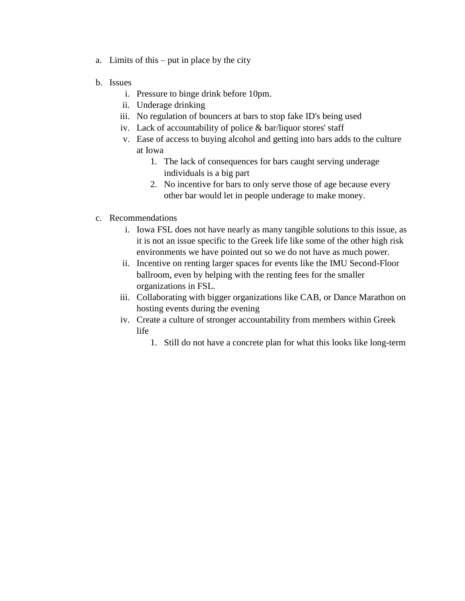- a. Limits of this put in place by the city
- b. Issues
	- i. Pressure to binge drink before 10pm.
	- ii. Underage drinking
	- iii. No regulation of bouncers at bars to stop fake ID's being used
	- iv. Lack of accountability of police & bar/liquor stores' staff
	- v. Ease of access to buying alcohol and getting into bars adds to the culture at Iowa
		- 1. The lack of consequences for bars caught serving underage individuals is a big part
		- 2. No incentive for bars to only serve those of age because every other bar would let in people underage to make money.
- c. Recommendations
	- i. Iowa FSL does not have nearly as many tangible solutions to this issue, as it is not an issue specific to the Greek life like some of the other high risk environments we have pointed out so we do not have as much power.
	- ii. Incentive on renting larger spaces for events like the IMU Second-Floor ballroom, even by helping with the renting fees for the smaller organizations in FSL.
	- iii. Collaborating with bigger organizations like CAB, or Dance Marathon on hosting events during the evening
	- iv. Create a culture of stronger accountability from members within Greek life
		- 1. Still do not have a concrete plan for what this looks like long-term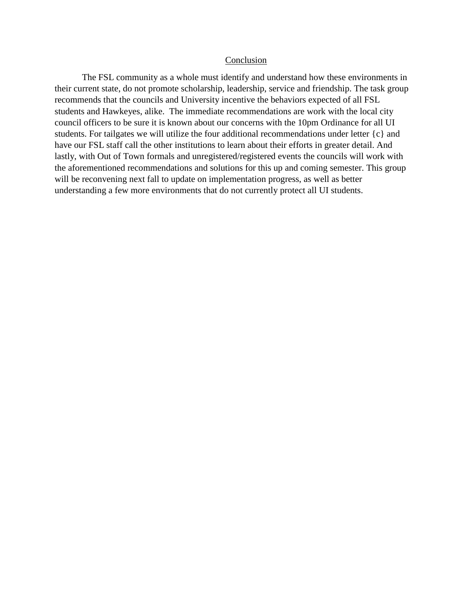#### Conclusion

The FSL community as a whole must identify and understand how these environments in their current state, do not promote scholarship, leadership, service and friendship. The task group recommends that the councils and University incentive the behaviors expected of all FSL students and Hawkeyes, alike. The immediate recommendations are work with the local city council officers to be sure it is known about our concerns with the 10pm Ordinance for all UI students. For tailgates we will utilize the four additional recommendations under letter {c} and have our FSL staff call the other institutions to learn about their efforts in greater detail. And lastly, with Out of Town formals and unregistered/registered events the councils will work with the aforementioned recommendations and solutions for this up and coming semester. This group will be reconvening next fall to update on implementation progress, as well as better understanding a few more environments that do not currently protect all UI students.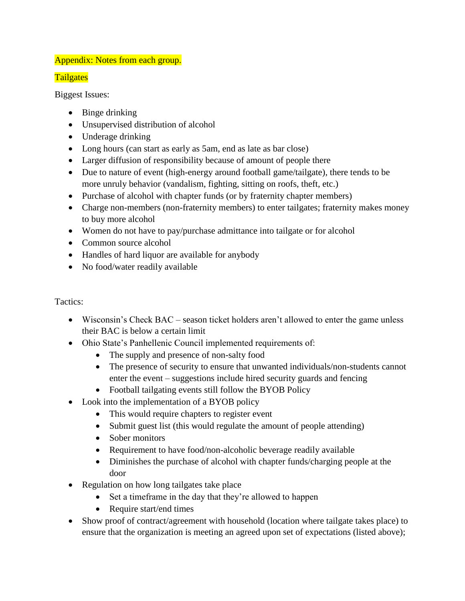# Appendix: Notes from each group.

# **Tailgates**

Biggest Issues:

- Binge drinking
- Unsupervised distribution of alcohol
- Underage drinking
- Long hours (can start as early as 5am, end as late as bar close)
- Larger diffusion of responsibility because of amount of people there
- Due to nature of event (high-energy around football game/tailgate), there tends to be more unruly behavior (vandalism, fighting, sitting on roofs, theft, etc.)
- Purchase of alcohol with chapter funds (or by fraternity chapter members)
- Charge non-members (non-fraternity members) to enter tailgates; fraternity makes money to buy more alcohol
- Women do not have to pay/purchase admittance into tailgate or for alcohol
- Common source alcohol
- Handles of hard liquor are available for anybody
- No food/water readily available

# Tactics:

- Wisconsin's Check BAC season ticket holders aren't allowed to enter the game unless their BAC is below a certain limit
- Ohio State's Panhellenic Council implemented requirements of:
	- The supply and presence of non-salty food
	- The presence of security to ensure that unwanted individuals/non-students cannot enter the event – suggestions include hired security guards and fencing
	- Football tailgating events still follow the BYOB Policy
- Look into the implementation of a BYOB policy
	- This would require chapters to register event
	- Submit guest list (this would regulate the amount of people attending)
	- Sober monitors
	- Requirement to have food/non-alcoholic beverage readily available
	- Diminishes the purchase of alcohol with chapter funds/charging people at the door
- Regulation on how long tailgates take place
	- Set a timeframe in the day that they're allowed to happen
	- Require start/end times
- Show proof of contract/agreement with household (location where tailgate takes place) to ensure that the organization is meeting an agreed upon set of expectations (listed above);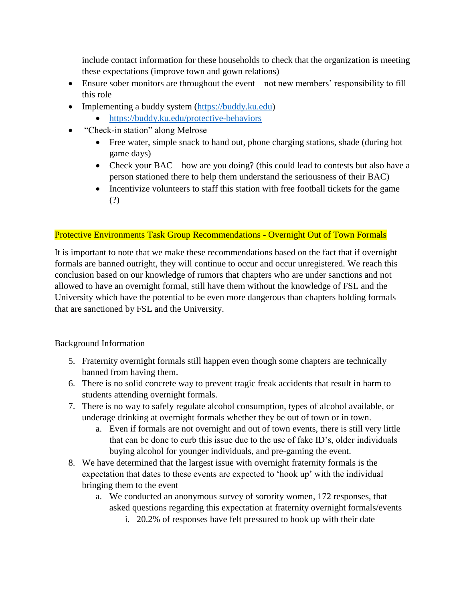include contact information for these households to check that the organization is meeting these expectations (improve town and gown relations)

- Ensure sober monitors are throughout the event not new members' responsibility to fill this role
- Implementing a buddy system [\(https://buddy.ku.edu\)](https://buddy.ku.edu/)
	- <https://buddy.ku.edu/protective-behaviors>
- "Check-in station" along Melrose
	- Free water, simple snack to hand out, phone charging stations, shade (during hot game days)
	- Check your BAC how are you doing? (this could lead to contests but also have a person stationed there to help them understand the seriousness of their BAC)
	- Incentivize volunteers to staff this station with free football tickets for the game (?)

# Protective Environments Task Group Recommendations - Overnight Out of Town Formals

It is important to note that we make these recommendations based on the fact that if overnight formals are banned outright, they will continue to occur and occur unregistered. We reach this conclusion based on our knowledge of rumors that chapters who are under sanctions and not allowed to have an overnight formal, still have them without the knowledge of FSL and the University which have the potential to be even more dangerous than chapters holding formals that are sanctioned by FSL and the University.

# Background Information

- 5. Fraternity overnight formals still happen even though some chapters are technically banned from having them.
- 6. There is no solid concrete way to prevent tragic freak accidents that result in harm to students attending overnight formals.
- 7. There is no way to safely regulate alcohol consumption, types of alcohol available, or underage drinking at overnight formals whether they be out of town or in town.
	- a. Even if formals are not overnight and out of town events, there is still very little that can be done to curb this issue due to the use of fake ID's, older individuals buying alcohol for younger individuals, and pre-gaming the event.
- 8. We have determined that the largest issue with overnight fraternity formals is the expectation that dates to these events are expected to 'hook up' with the individual bringing them to the event
	- a. We conducted an anonymous survey of sorority women, 172 responses, that asked questions regarding this expectation at fraternity overnight formals/events
		- i. 20.2% of responses have felt pressured to hook up with their date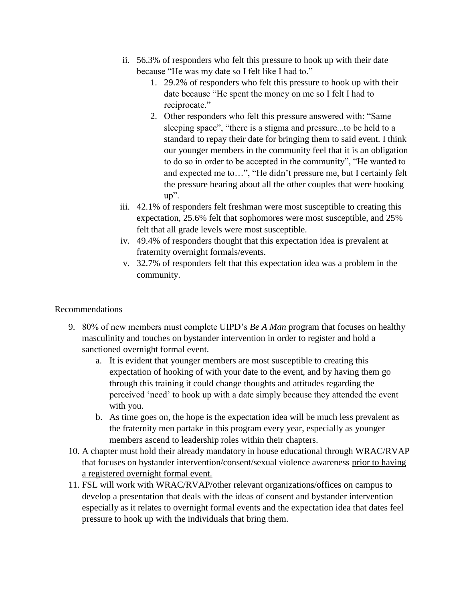- ii. 56.3% of responders who felt this pressure to hook up with their date because "He was my date so I felt like I had to."
	- 1. 29.2% of responders who felt this pressure to hook up with their date because "He spent the money on me so I felt I had to reciprocate."
	- 2. Other responders who felt this pressure answered with: "Same sleeping space", "there is a stigma and pressure...to be held to a standard to repay their date for bringing them to said event. I think our younger members in the community feel that it is an obligation to do so in order to be accepted in the community", "He wanted to and expected me to…", "He didn't pressure me, but I certainly felt the pressure hearing about all the other couples that were hooking up".
- iii. 42.1% of responders felt freshman were most susceptible to creating this expectation, 25.6% felt that sophomores were most susceptible, and 25% felt that all grade levels were most susceptible.
- iv. 49.4% of responders thought that this expectation idea is prevalent at fraternity overnight formals/events.
- v. 32.7% of responders felt that this expectation idea was a problem in the community.

# Recommendations

- 9. 80% of new members must complete UIPD's *Be A Man* program that focuses on healthy masculinity and touches on bystander intervention in order to register and hold a sanctioned overnight formal event.
	- a. It is evident that younger members are most susceptible to creating this expectation of hooking of with your date to the event, and by having them go through this training it could change thoughts and attitudes regarding the perceived 'need' to hook up with a date simply because they attended the event with you.
	- b. As time goes on, the hope is the expectation idea will be much less prevalent as the fraternity men partake in this program every year, especially as younger members ascend to leadership roles within their chapters.
- 10. A chapter must hold their already mandatory in house educational through WRAC/RVAP that focuses on bystander intervention/consent/sexual violence awareness prior to having a registered overnight formal event.
- 11. FSL will work with WRAC/RVAP/other relevant organizations/offices on campus to develop a presentation that deals with the ideas of consent and bystander intervention especially as it relates to overnight formal events and the expectation idea that dates feel pressure to hook up with the individuals that bring them.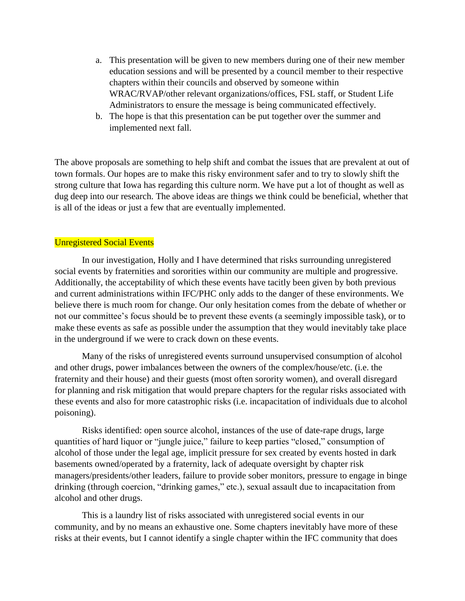- a. This presentation will be given to new members during one of their new member education sessions and will be presented by a council member to their respective chapters within their councils and observed by someone within WRAC/RVAP/other relevant organizations/offices, FSL staff, or Student Life Administrators to ensure the message is being communicated effectively.
- b. The hope is that this presentation can be put together over the summer and implemented next fall.

The above proposals are something to help shift and combat the issues that are prevalent at out of town formals. Our hopes are to make this risky environment safer and to try to slowly shift the strong culture that Iowa has regarding this culture norm. We have put a lot of thought as well as dug deep into our research. The above ideas are things we think could be beneficial, whether that is all of the ideas or just a few that are eventually implemented.

### Unregistered Social Events

In our investigation, Holly and I have determined that risks surrounding unregistered social events by fraternities and sororities within our community are multiple and progressive. Additionally, the acceptability of which these events have tacitly been given by both previous and current administrations within IFC/PHC only adds to the danger of these environments. We believe there is much room for change. Our only hesitation comes from the debate of whether or not our committee's focus should be to prevent these events (a seemingly impossible task), or to make these events as safe as possible under the assumption that they would inevitably take place in the underground if we were to crack down on these events.

 Many of the risks of unregistered events surround unsupervised consumption of alcohol and other drugs, power imbalances between the owners of the complex/house/etc. (i.e. the fraternity and their house) and their guests (most often sorority women), and overall disregard for planning and risk mitigation that would prepare chapters for the regular risks associated with these events and also for more catastrophic risks (i.e. incapacitation of individuals due to alcohol poisoning).

 Risks identified: open source alcohol, instances of the use of date-rape drugs, large quantities of hard liquor or "jungle juice," failure to keep parties "closed," consumption of alcohol of those under the legal age, implicit pressure for sex created by events hosted in dark basements owned/operated by a fraternity, lack of adequate oversight by chapter risk managers/presidents/other leaders, failure to provide sober monitors, pressure to engage in binge drinking (through coercion, "drinking games," etc.), sexual assault due to incapacitation from alcohol and other drugs.

 This is a laundry list of risks associated with unregistered social events in our community, and by no means an exhaustive one. Some chapters inevitably have more of these risks at their events, but I cannot identify a single chapter within the IFC community that does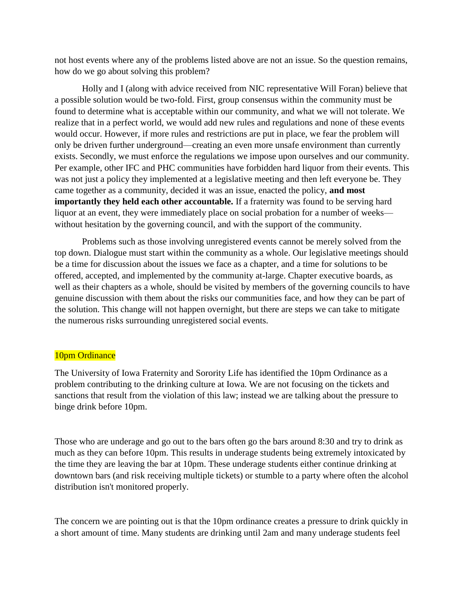not host events where any of the problems listed above are not an issue. So the question remains, how do we go about solving this problem?

Holly and I (along with advice received from NIC representative Will Foran) believe that a possible solution would be two-fold. First, group consensus within the community must be found to determine what is acceptable within our community, and what we will not tolerate. We realize that in a perfect world, we would add new rules and regulations and none of these events would occur. However, if more rules and restrictions are put in place, we fear the problem will only be driven further underground—creating an even more unsafe environment than currently exists. Secondly, we must enforce the regulations we impose upon ourselves and our community. Per example, other IFC and PHC communities have forbidden hard liquor from their events. This was not just a policy they implemented at a legislative meeting and then left everyone be. They came together as a community, decided it was an issue, enacted the policy, **and most importantly they held each other accountable.** If a fraternity was found to be serving hard liquor at an event, they were immediately place on social probation for a number of weeks without hesitation by the governing council, and with the support of the community.

Problems such as those involving unregistered events cannot be merely solved from the top down. Dialogue must start within the community as a whole. Our legislative meetings should be a time for discussion about the issues we face as a chapter, and a time for solutions to be offered, accepted, and implemented by the community at-large. Chapter executive boards, as well as their chapters as a whole, should be visited by members of the governing councils to have genuine discussion with them about the risks our communities face, and how they can be part of the solution. This change will not happen overnight, but there are steps we can take to mitigate the numerous risks surrounding unregistered social events.

#### 10pm Ordinance

The University of Iowa Fraternity and Sorority Life has identified the 10pm Ordinance as a problem contributing to the drinking culture at Iowa. We are not focusing on the tickets and sanctions that result from the violation of this law; instead we are talking about the pressure to binge drink before 10pm.

Those who are underage and go out to the bars often go the bars around 8:30 and try to drink as much as they can before 10pm. This results in underage students being extremely intoxicated by the time they are leaving the bar at 10pm. These underage students either continue drinking at downtown bars (and risk receiving multiple tickets) or stumble to a party where often the alcohol distribution isn't monitored properly.

The concern we are pointing out is that the 10pm ordinance creates a pressure to drink quickly in a short amount of time. Many students are drinking until 2am and many underage students feel